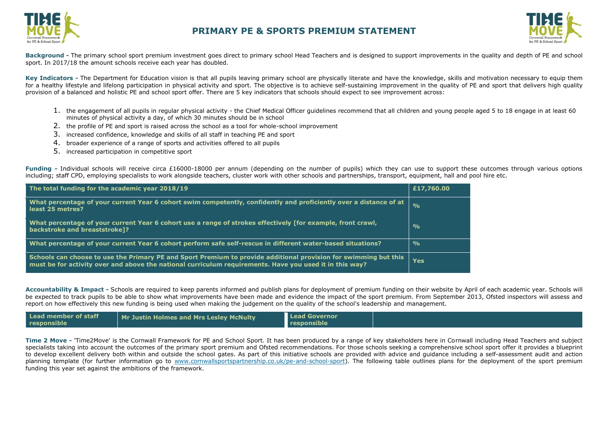



**Background -** The primary school sport premium investment goes direct to primary school Head Teachers and is designed to support improvements in the quality and depth of PE and school sport. In 2017/18 the amount schools receive each year has doubled.

Key Indicators - The Department for Education vision is that all pupils leaving primary school are physically literate and have the knowledge, skills and motivation necessary to equip them for a healthy lifestyle and lifelong participation in physical activity and sport. The objective is to achieve self-sustaining improvement in the quality of PE and sport that delivers high quality provision of a balanced and holistic PE and school sport offer. There are 5 key indicators that schools should expect to see improvement across:

- 1. the engagement of all pupils in regular physical activity the Chief Medical Officer guidelines recommend that all children and young people aged 5 to 18 engage in at least 60 minutes of physical activity a day, of which 30 minutes should be in school
- 2. the profile of PE and sport is raised across the school as a tool for whole-school improvement
- 3. increased confidence, knowledge and skills of all staff in teaching PE and sport
- 4. broader experience of a range of sports and activities offered to all pupils
- 5. increased participation in competitive sport

**Funding -** Individual schools will receive circa £16000-18000 per annum (depending on the number of pupils) which they can use to support these outcomes through various options including; staff CPD, employing specialists to work alongside teachers, cluster work with other schools and partnerships, transport, equipment, hall and pool hire etc.

| The total funding for the academic year 2018/19                                                                                                                                                                             | £17,760.00      |
|-----------------------------------------------------------------------------------------------------------------------------------------------------------------------------------------------------------------------------|-----------------|
| What percentage of your current Year 6 cohort swim competently, confidently and proficiently over a distance of at<br>least 25 metres?                                                                                      | $\sim$ $\sigma$ |
| What percentage of your current Year 6 cohort use a range of strokes effectively [for example, front crawl,<br>backstroke and breaststroke]?                                                                                | $\frac{O}{O}$   |
| What percentage of your current Year 6 cohort perform safe self-rescue in different water-based situations?                                                                                                                 | $\frac{O}{O}$   |
| Schools can choose to use the Primary PE and Sport Premium to provide additional provision for swimming but this<br>must be for activity over and above the national curriculum requirements. Have you used it in this way? | <b>Yes</b>      |

**Accountability & Impact -** Schools are required to keep parents informed and publish plans for deployment of premium funding on their website by April of each academic year. Schools will be expected to track pupils to be able to show what improvements have been made and [evidence the impact o](http://www.cornwallsportspartnership.co.uk/)f the sport premium. From September 2013, [Ofsted](http://www.ofsted.gov.uk/inspection-reports/our-expert-knowledge/physical-education) inspectors will assess and report on how effectively this new funding is being used when making the judgement on the quality of the school's leadership and management.

| Lead member of staff | Mr Justin Holmes and Mrs Lesley McNulty | <b>Lead Governor</b> |  |
|----------------------|-----------------------------------------|----------------------|--|
| responsible          |                                         | responsible          |  |

**Time 2 Move -** 'Time2Move' is the Cornwall Framework for PE and School Sport. It has been produced by a range of key stakeholders here in Cornwall including Head Teachers and subject specialists taking into account the outcomes of the primary sport premium and Ofsted recommendations. For those schools seeking a comprehensive school sport offer it provides a blueprint to develop excellent delivery both within and outside the school gates. As part of this initiative schools are provided with advice and guidance including a self-assessment audit and action planning template (for further information go to [www.cornwallsportspartnership.co.uk/pe-and-school-sport\)](http://www.cornwallsportspartnership.co.uk/pe-and-school-sport). The following table outlines plans for the deployment of the sport premium funding this year set against the ambitions of the framework.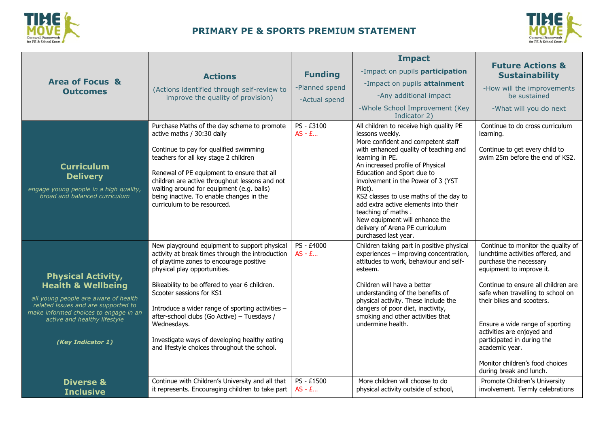



| <b>Area of Focus &amp;</b><br><b>Outcomes</b>                                                                                                                                                                                           | <b>Actions</b><br>(Actions identified through self-review to<br>improve the quality of provision)                                                                                                                                                                                                                                                                                                                                                                                                                               | <b>Funding</b><br>-Planned spend<br>-Actual spend | <b>Impact</b><br>-Impact on pupils participation<br>-Impact on pupils attainment<br>-Any additional impact<br>-Whole School Improvement (Key<br>Indicator 2)                                                                                                                                                                                                                                                                                                                         | <b>Future Actions &amp;</b><br><b>Sustainability</b><br>-How will the improvements<br>be sustained<br>-What will you do next                                                                                                                                                                                                                                                                                                                           |
|-----------------------------------------------------------------------------------------------------------------------------------------------------------------------------------------------------------------------------------------|---------------------------------------------------------------------------------------------------------------------------------------------------------------------------------------------------------------------------------------------------------------------------------------------------------------------------------------------------------------------------------------------------------------------------------------------------------------------------------------------------------------------------------|---------------------------------------------------|--------------------------------------------------------------------------------------------------------------------------------------------------------------------------------------------------------------------------------------------------------------------------------------------------------------------------------------------------------------------------------------------------------------------------------------------------------------------------------------|--------------------------------------------------------------------------------------------------------------------------------------------------------------------------------------------------------------------------------------------------------------------------------------------------------------------------------------------------------------------------------------------------------------------------------------------------------|
| <b>Curriculum</b><br><b>Delivery</b><br>engage young people in a high quality,<br>broad and balanced curriculum                                                                                                                         | Purchase Maths of the day scheme to promote<br>active maths / 30:30 daily<br>Continue to pay for qualified swimming<br>teachers for all key stage 2 children<br>Renewal of PE equipment to ensure that all<br>children are active throughout lessons and not<br>waiting around for equipment (e.g. balls)<br>being inactive. To enable changes in the<br>curriculum to be resourced.                                                                                                                                            | PS - £3100<br>$AS - E$                            | All children to receive high quality PE<br>lessons weekly.<br>More confident and competent staff<br>with enhanced quality of teaching and<br>learning in PE.<br>An increased profile of Physical<br>Education and Sport due to<br>involvement in the Power of 3 (YST<br>Pilot).<br>KS2 classes to use maths of the day to<br>add extra active elements into their<br>teaching of maths.<br>New equipment will enhance the<br>delivery of Arena PE curriculum<br>purchased last year. | Continue to do cross curriculum<br>learning.<br>Continue to get every child to<br>swim 25m before the end of KS2.                                                                                                                                                                                                                                                                                                                                      |
| <b>Physical Activity,</b><br><b>Health &amp; Wellbeing</b><br>all young people are aware of health<br>related issues and are supported to<br>make informed choices to engage in an<br>active and healthy lifestyle<br>(Key Indicator 1) | New playground equipment to support physical<br>activity at break times through the introduction<br>of playtime zones to encourage positive<br>physical play opportunities.<br>Bikeability to be offered to year 6 children.<br>Scooter sessions for KS1<br>Introduce a wider range of sporting activities -<br>after-school clubs (Go Active) - Tuesdays /<br>Wednesdays.<br>Investigate ways of developing healthy eating<br>and lifestyle choices throughout the school.<br>Continue with Children's University and all that | PS - £4000<br>$AS - E$<br>PS - £1500              | Children taking part in positive physical<br>experiences - improving concentration,<br>attitudes to work, behaviour and self-<br>esteem.<br>Children will have a better<br>understanding of the benefits of<br>physical activity. These include the<br>dangers of poor diet, inactivity,<br>smoking and other activities that<br>undermine health.<br>More children will choose to do                                                                                                | Continue to monitor the quality of<br>lunchtime activities offered, and<br>purchase the necessary<br>equipment to improve it.<br>Continue to ensure all children are<br>safe when travelling to school on<br>their bikes and scooters.<br>Ensure a wide range of sporting<br>activities are enjoyed and<br>participated in during the<br>academic year.<br>Monitor children's food choices<br>during break and lunch.<br>Promote Children's University |
| <b>Diverse &amp;</b><br><b>Inclusive</b>                                                                                                                                                                                                | it represents. Encouraging children to take part                                                                                                                                                                                                                                                                                                                                                                                                                                                                                | $AS - E$                                          | physical activity outside of school,                                                                                                                                                                                                                                                                                                                                                                                                                                                 | involvement. Termly celebrations                                                                                                                                                                                                                                                                                                                                                                                                                       |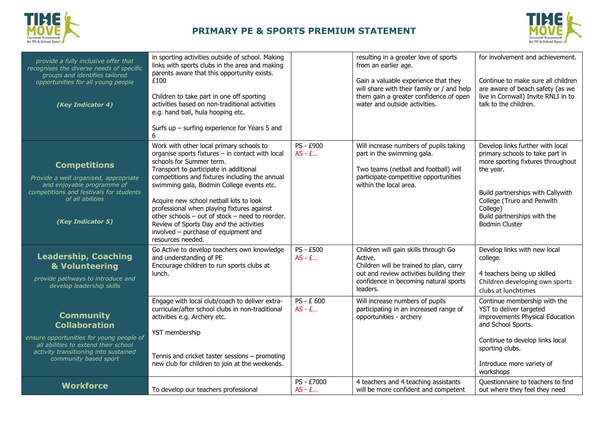



| provide a fully inclusive offer that<br>recognises the diverse needs of specific<br>groups and identifies tailored<br>opportunities for all young people<br>(Key Indicator 4)                  | in sporting activities outside of school. Making<br>links with sports clubs in the area and making<br>parents aware that this opportunity exists.<br>£100<br>Children to take part in one off sporting<br>activities based on non-traditional activities<br>e.g. hand ball, hula hooping etc.<br>Surfs up $-$ surfing experience for Years 5 and<br>6                                                                                                                                                                 |                              | resulting in a greater love of sports<br>from an earlier age.<br>Gain a valuable experience that they<br>will share with their family or / and help<br>them gain a greater confidence of open<br>water and outside activities. | for involvement and achievement.<br>Continue to make sure all children<br>are aware of beach safety (as we<br>live in Cornwall) Invite RNLI in to<br>talk to the children.                                                                                   |
|------------------------------------------------------------------------------------------------------------------------------------------------------------------------------------------------|-----------------------------------------------------------------------------------------------------------------------------------------------------------------------------------------------------------------------------------------------------------------------------------------------------------------------------------------------------------------------------------------------------------------------------------------------------------------------------------------------------------------------|------------------------------|--------------------------------------------------------------------------------------------------------------------------------------------------------------------------------------------------------------------------------|--------------------------------------------------------------------------------------------------------------------------------------------------------------------------------------------------------------------------------------------------------------|
| <b>Competitions</b><br>Provide a well organised, appropriate<br>and enjoyable programme of<br>competitions and festivals for students<br>of all abilities<br>(Key Indicator 5)                 | Work with other local primary schools to<br>organise sports fixtures - in contact with local<br>schools for Summer term.<br>Transport to participate in additional<br>competitions and fixtures including the annual<br>swimming gala, Bodmin College events etc.<br>Acquire new school netball kits to look<br>professional when playing fixtures against<br>other schools - out of stock - need to reorder.<br>Review of Sports Day and the activities<br>involved - purchase of equipment and<br>resources needed. | PS - £900<br>$AS - E$        | Will increase numbers of pupils taking<br>part in the swimming gala.<br>Two teams (netball and football) will<br>participate competitive opportunities<br>within the local area.                                               | Develop links further with local<br>primary schools to take part in<br>more sporting fixtures throughout<br>the year.<br>Build partnerships with Callywith<br>College (Truro and Penwith<br>College)<br>Build partnerships with the<br><b>Bodmin Cluster</b> |
| <b>Leadership, Coaching</b><br>& Volunteering<br>provide pathways to introduce and<br>develop leadership skills                                                                                | Go Active to develop teachers own knowledge<br>and understanding of PE<br>Encourage children to run sports clubs at<br>lunch.                                                                                                                                                                                                                                                                                                                                                                                         | <b>PS - £500</b><br>$AS - E$ | Children will gain skills through Go<br>Active.<br>Children will be trained to plan, carry<br>out and review activities building their<br>confidence in becoming natural sports<br>leaders.                                    | Develop links with new local<br>college.<br>4 teachers being up skilled<br>Children developing own sports<br>clubs at lunchtimes                                                                                                                             |
| <b>Community</b><br><b>Collaboration</b><br>ensure opportunities for young people of<br>all abilities to extend their school<br>activity transitioning into sustained<br>community based sport | Engage with local club/coach to deliver extra-<br>curricular/after school clubs in non-traditional<br>activities e.g. Archery etc.<br>YST membership<br>Tennis and cricket taster sessions - promoting<br>new club for children to join at the weekends.                                                                                                                                                                                                                                                              | PS - £ 600<br>$AS - E$       | Will increase numbers of pupils<br>participating in an increased range of<br>opportunities - archery                                                                                                                           | Continue membership with the<br>YST to deliver targeted<br>improvements Physical Education<br>and School Sports.<br>Continue to develop links local<br>sporting clubs.<br>Introduce more variety of<br>workshops                                             |
| <b>Workforce</b>                                                                                                                                                                               | To develop our teachers professional                                                                                                                                                                                                                                                                                                                                                                                                                                                                                  | PS - £7000<br>$AS - E$       | 4 teachers and 4 teaching assistants<br>will be more confident and competent                                                                                                                                                   | Questionnaire to teachers to find<br>out where they feel they need                                                                                                                                                                                           |